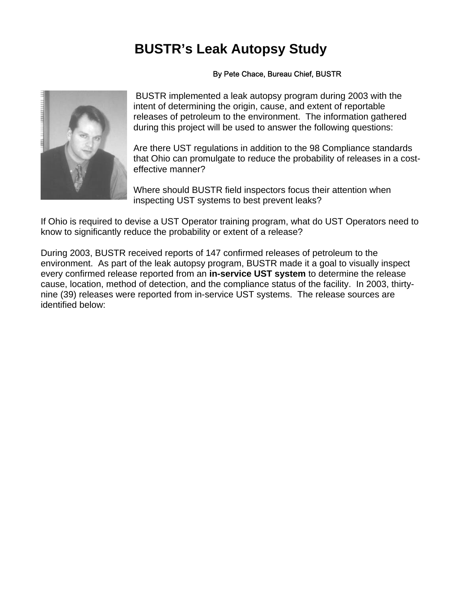## **BUSTR's Leak Autopsy Study**

## By Pete Chace, Bureau Chief, BUSTR



BUSTR implemented a leak autopsy program during 2003 with the intent of determining the origin, cause, and extent of reportable releases of petroleum to the environment. The information gathered during this project will be used to answer the following questions:

Are there UST regulations in addition to the 98 Compliance standards that Ohio can promulgate to reduce the probability of releases in a c osteffective manner?

Where should BUSTR field inspectors focus their attention when inspecting UST systems to best prevent leaks?

If Ohio is required to devise a UST Operator training program, what do UST Operators need to know to significantly reduce the probability or extent of a release?

During 2003, BUSTR received reports of 147 confirmed releases of petroleum to the environment. As part of the leak autopsy program, BUSTR made it a goal to visually inspect every confirmed release reported from an **in-service UST system** to determine the release cause, location, method of detection, and the compliance status of the facility. In 2003, thirtynine (39) releases were reported from in-service UST systems. The release sources are identified below: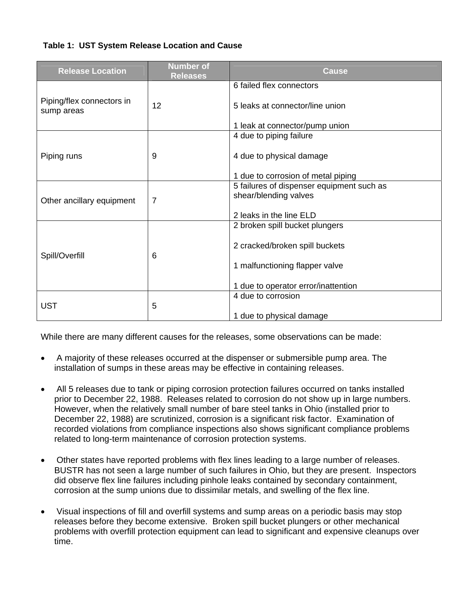## **Table 1: UST System Release Location and Cause**

| <b>Number of</b><br><b>Releases</b>         | <b>Cause</b>                              |
|---------------------------------------------|-------------------------------------------|
|                                             | 6 failed flex connectors                  |
| 12                                          | 5 leaks at connector/line union           |
|                                             | 1 leak at connector/pump union            |
| 9<br>Piping runs                            | 4 due to piping failure                   |
|                                             | 4 due to physical damage                  |
|                                             | 1 due to corrosion of metal piping        |
| $\overline{7}$<br>Other ancillary equipment | 5 failures of dispenser equipment such as |
|                                             | shear/blending valves                     |
|                                             | 2 leaks in the line ELD                   |
| Spill/Overfill<br>6                         | 2 broken spill bucket plungers            |
|                                             | 2 cracked/broken spill buckets            |
|                                             | 1 malfunctioning flapper valve            |
|                                             | 1 due to operator error/inattention       |
| <b>UST</b><br>5                             | 4 due to corrosion                        |
|                                             | 1 due to physical damage                  |
|                                             |                                           |

While there are many different causes for the releases, some observations can be made:

- A majority of these releases occurred at the dispenser or submersible pump area. The installation of sumps in these areas may be effective in containing releases.
- All 5 releases due to tank or piping corrosion protection failures occurred on tanks installed prior to December 22, 1988. Releases related to corrosion do not show up in large numbers. However, when the relatively small number of bare steel tanks in Ohio (installed prior to December 22, 1988) are scrutinized, corrosion is a significant risk factor. Examination of recorded violations from compliance inspections also shows significant compliance problems related to long-term maintenance of corrosion protection systems.
- Other states have reported problems with flex lines leading to a large number of releases. BUSTR has not seen a large number of such failures in Ohio, but they are present. Inspectors did observe flex line failures including pinhole leaks contained by secondary containment, corrosion at the sump unions due to dissimilar metals, and swelling of the flex line.
- Visual inspections of fill and overfill systems and sump areas on a periodic basis may stop releases before they become extensive. Broken spill bucket plungers or other mechanical problems with overfill protection equipment can lead to significant and expensive cleanups over time.